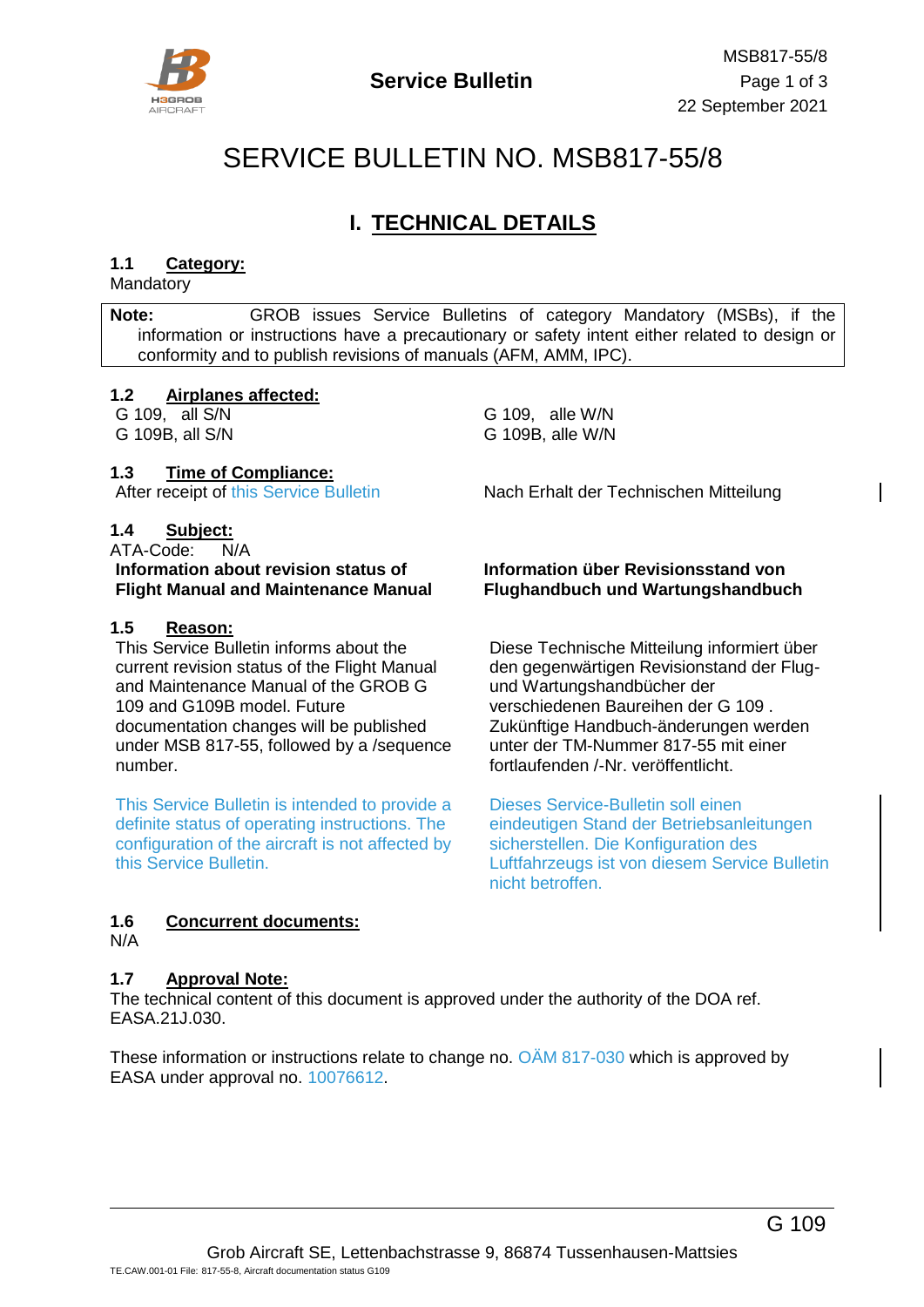

# SERVICE BULLETIN NO. MSB817-55/8

## **I. TECHNICAL DETAILS**

## **1.1 Category:**

**Mandatory** 

**Note:** GROB issues Service Bulletins of category Mandatory (MSBs), if the information or instructions have a precautionary or safety intent either related to design or conformity and to publish revisions of manuals (AFM, AMM, IPC).

### **1.2 Airplanes affected:**

### **1.3 Time of Compliance:**

### **1.4 Subject:**

ATA-Code: N/A **Information about revision status of Flight Manual and Maintenance Manual**

#### **1.5 Reason:**

This Service Bulletin informs about the current revision status of the Flight Manual and Maintenance Manual of the GROB G 109 and G109B model. Future documentation changes will be published under MSB 817-55, followed by a /sequence number.

This Service Bulletin is intended to provide a definite status of operating instructions. The configuration of the aircraft is not affected by this Service Bulletin.

G 109, all S/N G 109, alle W/N G 109B, all S/N G 109B, alle W/N G 109B, alle W/N

After receipt of this Service Bulletin Nach Erhalt der Technischen Mitteilung

#### **Information über Revisionsstand von Flughandbuch und Wartungshandbuch**

Diese Technische Mitteilung informiert über den gegenwärtigen Revisionstand der Flugund Wartungshandbücher der verschiedenen Baureihen der G 109 . Zukünftige Handbuch-änderungen werden unter der TM-Nummer 817-55 mit einer fortlaufenden /-Nr. veröffentlicht.

Dieses Service-Bulletin soll einen eindeutigen Stand der Betriebsanleitungen sicherstellen. Die Konfiguration des Luftfahrzeugs ist von diesem Service Bulletin nicht betroffen.

## **1.6 Concurrent documents:**

N/A

### **1.7 Approval Note:**

The technical content of this document is approved under the authority of the DOA ref. EASA.21J.030.

These information or instructions relate to change no. OAM 817-030 which is approved by EASA under approval no. 10076612.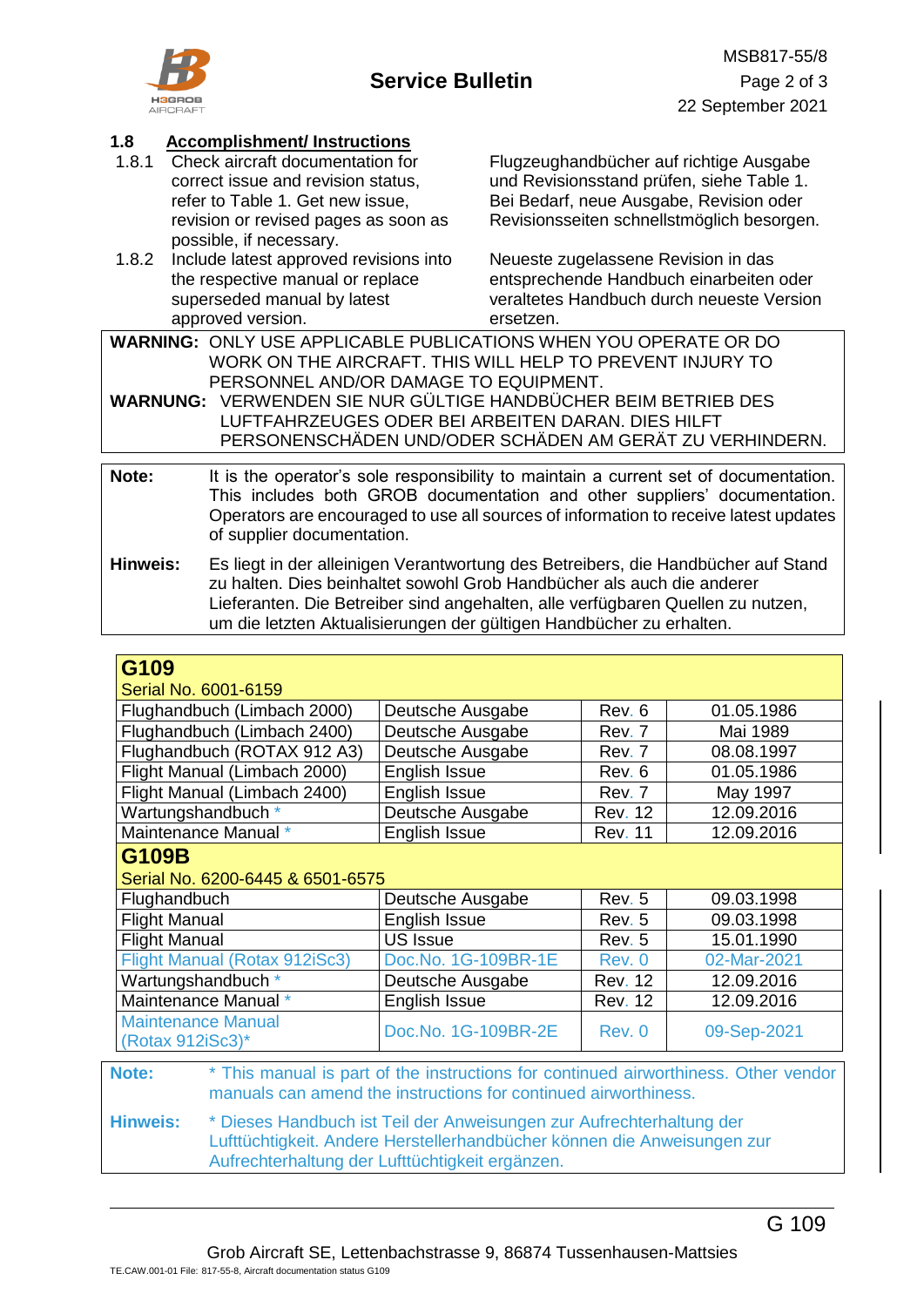

## **1.8 Accomplishment/ Instructions**

- 1.8.1 Check aircraft documentation for correct issue and revision status, refer to Table 1. Get new issue, revision or revised pages as soon as possible, if necessary.
- 1.8.2 Include latest approved revisions into the respective manual or replace superseded manual by latest approved version.

Flugzeughandbücher auf richtige Ausgabe und Revisionsstand prüfen, siehe Table 1. Bei Bedarf, neue Ausgabe, Revision oder Revisionsseiten schnellstmöglich besorgen.

Neueste zugelassene Revision in das entsprechende Handbuch einarbeiten oder veraltetes Handbuch durch neueste Version ersetzen.

**WARNING:** ONLY USE APPLICABLE PUBLICATIONS WHEN YOU OPERATE OR DO WORK ON THE AIRCRAFT. THIS WILL HELP TO PREVENT INJURY TO PERSONNEL AND/OR DAMAGE TO EQUIPMENT.

**WARNUNG:** VERWENDEN SIE NUR GÜLTIGE HANDBÜCHER BEIM BETRIEB DES LUFTFAHRZEUGES ODER BEI ARBEITEN DARAN. DIES HILFT PERSONENSCHÄDEN UND/ODER SCHÄDEN AM GERÄT ZU VERHINDERN.

- **Note:** It is the operator's sole responsibility to maintain a current set of documentation. This includes both GROB documentation and other suppliers' documentation. Operators are encouraged to use all sources of information to receive latest updates of supplier documentation.
- **Hinweis:** Es liegt in der alleinigen Verantwortung des Betreibers, die Handbücher auf Stand zu halten. Dies beinhaltet sowohl Grob Handbücher als auch die anderer Lieferanten. Die Betreiber sind angehalten, alle verfügbaren Quellen zu nutzen, um die letzten Aktualisierungen der gültigen Handbücher zu erhalten.

## **G109**

| Serial No. 6001-6159         |                  |                |            |
|------------------------------|------------------|----------------|------------|
| Flughandbuch (Limbach 2000)  | Deutsche Ausgabe | Rev. 6         | 01.05.1986 |
| Flughandbuch (Limbach 2400)  | Deutsche Ausgabe | Rev. 7         | Mai 1989   |
| Flughandbuch (ROTAX 912 A3)  | Deutsche Ausgabe | Rev. 7         | 08.08.1997 |
| Flight Manual (Limbach 2000) | English Issue    | Rev. 6         | 01.05.1986 |
| Flight Manual (Limbach 2400) | English Issue    | Rev. 7         | May 1997   |
| Wartungshandbuch *           | Deutsche Ausgabe | <b>Rev. 12</b> | 12.09.2016 |
| Maintenance Manual *         | English Issue    | <b>Rev. 11</b> | 12.09.2016 |
|                              |                  |                |            |

## **G109B**

| Serial No. 6200-6445 & 6501-6575                 |                     |                |             |  |
|--------------------------------------------------|---------------------|----------------|-------------|--|
| Flughandbuch                                     | Deutsche Ausgabe    | Rev. 5         | 09.03.1998  |  |
| <b>Flight Manual</b>                             | English Issue       | Rev. 5         | 09.03.1998  |  |
| <b>Flight Manual</b>                             | <b>US Issue</b>     | Rev. 5         | 15.01.1990  |  |
| Flight Manual (Rotax 912iSc3)                    | Doc.No. 1G-109BR-1E | Rev. 0         | 02-Mar-2021 |  |
| Wartungshandbuch *                               | Deutsche Ausgabe    | <b>Rev. 12</b> | 12.09.2016  |  |
| Maintenance Manual *                             | English Issue       | <b>Rev. 12</b> | 12.09.2016  |  |
| <b>Maintenance Manual</b><br>(Rotax $912iSc3$ )* | Doc.No. 1G-109BR-2E | Rev. 0         | 09-Sep-2021 |  |
|                                                  |                     |                |             |  |

**Note:** \* This manual is part of the instructions for continued airworthiness. Other vendor manuals can amend the instructions for continued airworthiness.

**Hinweis:** \* Dieses Handbuch ist Teil der Anweisungen zur Aufrechterhaltung der Lufttüchtigkeit. Andere Herstellerhandbücher können die Anweisungen zur Aufrechterhaltung der Lufttüchtigkeit ergänzen.